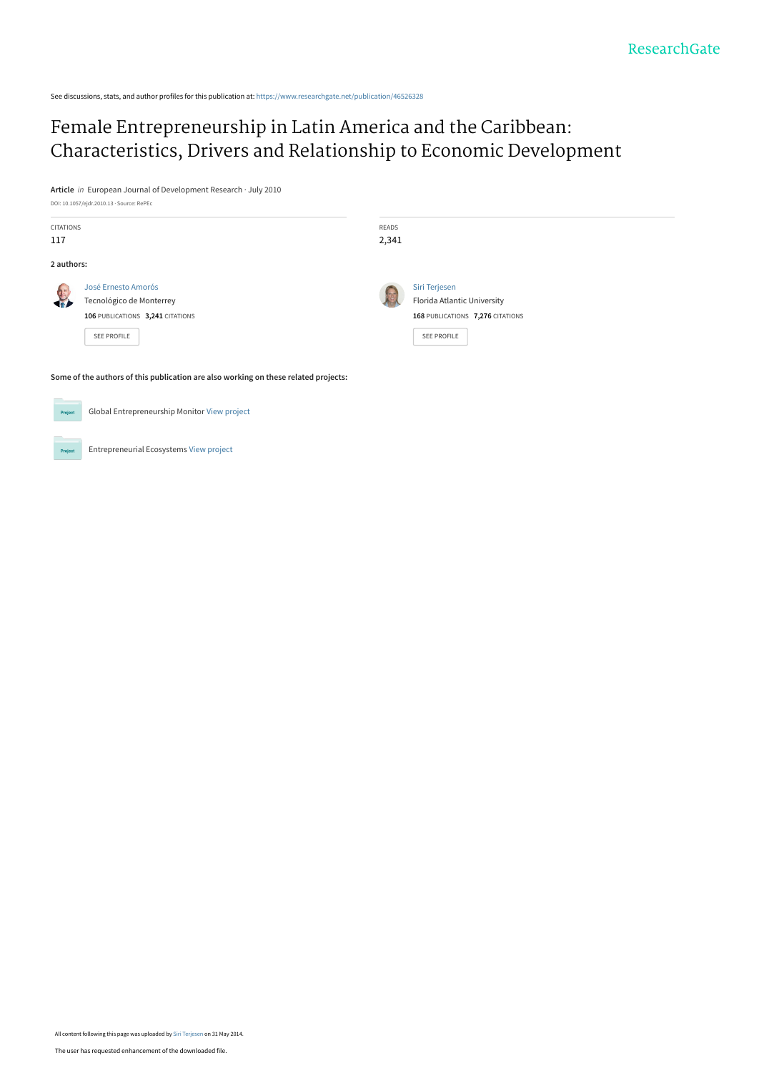See discussions, stats, and author profiles for this publication at: [https://www.researchgate.net/publication/46526328](https://www.researchgate.net/publication/46526328_Female_Entrepreneurship_in_Latin_America_and_the_Caribbean_Characteristics_Drivers_and_Relationship_to_Economic_Development?enrichId=rgreq-4c353df267b83de5fbc28a556e14ab5c-XXX&enrichSource=Y292ZXJQYWdlOzQ2NTI2MzI4O0FTOjEwMjkyODUzMDU0MjU5NEAxNDAxNTUxNDgyMjMz&el=1_x_2&_esc=publicationCoverPdf)

# Female Entrepreneurship in Latin America and the Caribbean: [Characteristics, Drivers and Relationship to Economic Development](https://www.researchgate.net/publication/46526328_Female_Entrepreneurship_in_Latin_America_and_the_Caribbean_Characteristics_Drivers_and_Relationship_to_Economic_Development?enrichId=rgreq-4c353df267b83de5fbc28a556e14ab5c-XXX&enrichSource=Y292ZXJQYWdlOzQ2NTI2MzI4O0FTOjEwMjkyODUzMDU0MjU5NEAxNDAxNTUxNDgyMjMz&el=1_x_3&_esc=publicationCoverPdf)

**Article** in European Journal of Development Research · July 2010 DOI: 10.1057/ejdr.2010.13 · Source: RePEc

| <b>CITATIONS</b> |                                                                                                           | READS           |                                                                                                 |
|------------------|-----------------------------------------------------------------------------------------------------------|-----------------|-------------------------------------------------------------------------------------------------|
| 117              |                                                                                                           | 2,341           |                                                                                                 |
| 2 authors:       |                                                                                                           |                 |                                                                                                 |
| $\mathbf{R}$     | José Ernesto Amorós<br>Tecnológico de Monterrey<br>106 PUBLICATIONS 3,241 CITATIONS<br><b>SEE PROFILE</b> | <b>Contract</b> | Siri Terjesen<br>Florida Atlantic University<br>168 PUBLICATIONS 7,276 CITATIONS<br>SEE PROFILE |

**Some of the authors of this publication are also working on these related projects:**

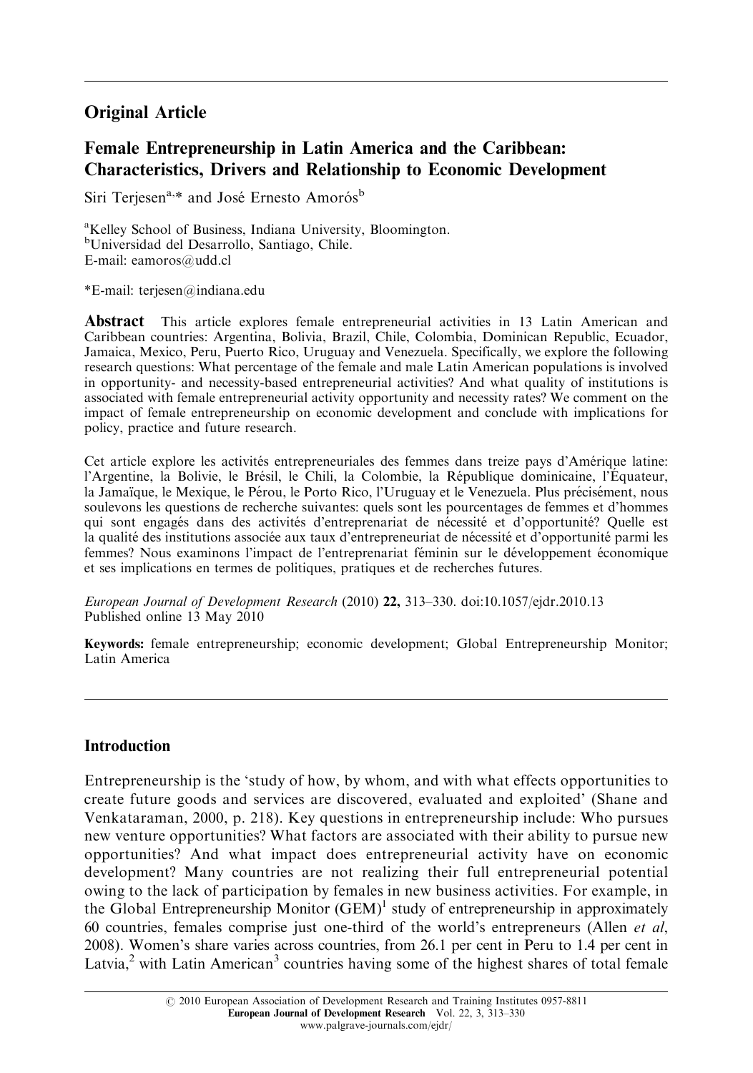# Original Article

# Female Entrepreneurship in Latin America and the Caribbean: Characteristics, Drivers and Relationship to Economic Development

Siri Terjesen<sup>a,\*</sup> and José Ernesto Amorós<sup>b</sup>

<sup>a</sup>Kelley School of Business, Indiana University, Bloomington. b Universidad del Desarrollo, Santiago, Chile. E-mail: eamoros@udd.cl

\*E-mail: terjesen@indiana.edu

Abstract This article explores female entrepreneurial activities in 13 Latin American and Caribbean countries: Argentina, Bolivia, Brazil, Chile, Colombia, Dominican Republic, Ecuador, Jamaica, Mexico, Peru, Puerto Rico, Uruguay and Venezuela. Specifically, we explore the following research questions: What percentage of the female and male Latin American populations is involved in opportunity- and necessity-based entrepreneurial activities? And what quality of institutions is associated with female entrepreneurial activity opportunity and necessity rates? We comment on the impact of female entrepreneurship on economic development and conclude with implications for policy, practice and future research.

Cet article explore les activités entrepreneuriales des femmes dans treize pays d'Amérique latine: l'Argentine, la Bolivie, le Brésil, le Chili, la Colombie, la République dominicaine, l'Équateur, la Jamaïque, le Mexique, le Pérou, le Porto Rico, l'Uruguay et le Venezuela. Plus précisément, nous soulevons les questions de recherche suivantes: quels sont les pourcentages de femmes et d'hommes qui sont engagés dans des activités d'entreprenariat de nécessité et d'opportunité? Quelle est la qualité des institutions associée aux taux d'entrepreneuriat de nécessité et d'opportunité parmi les femmes? Nous examinons l'impact de l'entreprenariat féminin sur le développement économique et ses implications en termes de politiques, pratiques et de recherches futures.

European Journal of Development Research (2010) 22, 313–330. doi:10.1057/ejdr.2010.13 Published online 13 May 2010

Keywords: female entrepreneurship; economic development; Global Entrepreneurship Monitor; Latin America

## Introduction

Entrepreneurship is the 'study of how, by whom, and with what effects opportunities to create future goods and services are discovered, evaluated and exploited' (Shane and Venkataraman, 2000, p. 218). Key questions in entrepreneurship include: Who pursues new venture opportunities? What factors are associated with their ability to pursue new opportunities? And what impact does entrepreneurial activity have on economic development? Many countries are not realizing their full entrepreneurial potential owing to the lack of participation by females in new business activities. For example, in the Global Entrepreneurship Monitor  $(GEM)^1$  study of entrepreneurship in approximately 60 countries, females comprise just one-third of the world's entrepreneurs (Allen *et al*, 2008). Women's share varies across countries, from 26.1 per cent in Peru to 1.4 per cent in Latvia, $2$  with Latin American $3$  countries having some of the highest shares of total female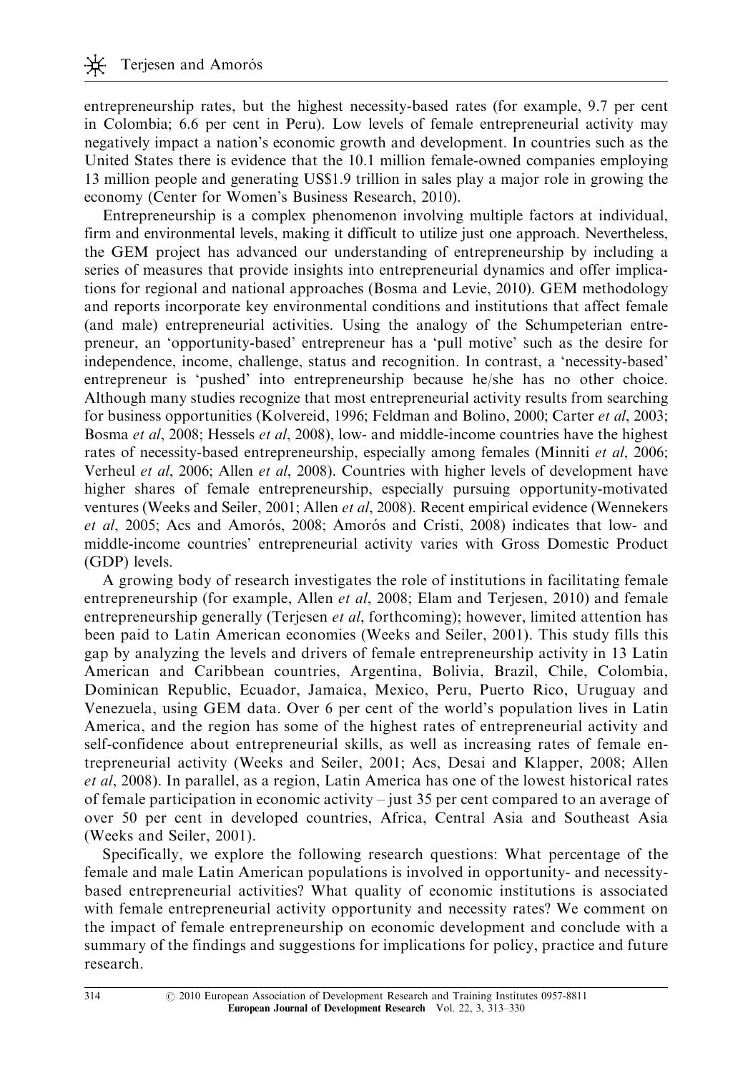entrepreneurship rates, but the highest necessity-based rates (for example, 9.7 per cent in Colombia; 6.6 per cent in Peru). Low levels of female entrepreneurial activity may negatively impact a nation's economic growth and development. In countries such as the United States there is evidence that the 10.1 million female-owned companies employing 13 million people and generating US\$1.9 trillion in sales play a major role in growing the economy (Center for Women's Business Research, 2010).

Entrepreneurship is a complex phenomenon involving multiple factors at individual, firm and environmental levels, making it difficult to utilize just one approach. Nevertheless, the GEM project has advanced our understanding of entrepreneurship by including a series of measures that provide insights into entrepreneurial dynamics and offer implications for regional and national approaches (Bosma and Levie, 2010). GEM methodology and reports incorporate key environmental conditions and institutions that affect female (and male) entrepreneurial activities. Using the analogy of the Schumpeterian entrepreneur, an 'opportunity-based' entrepreneur has a 'pull motive' such as the desire for independence, income, challenge, status and recognition. In contrast, a 'necessity-based' entrepreneur is 'pushed' into entrepreneurship because he/she has no other choice. Although many studies recognize that most entrepreneurial activity results from searching for business opportunities (Kolvereid, 1996; Feldman and Bolino, 2000; Carter et al, 2003; Bosma et al, 2008; Hessels et al, 2008), low- and middle-income countries have the highest rates of necessity-based entrepreneurship, especially among females (Minniti *et al.* 2006; Verheul *et al*, 2006; Allen *et al*, 2008). Countries with higher levels of development have higher shares of female entrepreneurship, especially pursuing opportunity-motivated ventures (Weeks and Seiler, 2001; Allen et al, 2008). Recent empirical evidence (Wennekers et al,  $2005$ ; Acs and Amorós,  $2008$ ; Amorós and Cristi,  $2008$ ) indicates that low- and middle-income countries' entrepreneurial activity varies with Gross Domestic Product (GDP) levels.

A growing body of research investigates the role of institutions in facilitating female entrepreneurship (for example, Allen *et al*, 2008; Elam and Terjesen, 2010) and female entrepreneurship generally (Terjesen *et al*, forthcoming); however, limited attention has been paid to Latin American economies (Weeks and Seiler, 2001). This study fills this gap by analyzing the levels and drivers of female entrepreneurship activity in 13 Latin American and Caribbean countries, Argentina, Bolivia, Brazil, Chile, Colombia, Dominican Republic, Ecuador, Jamaica, Mexico, Peru, Puerto Rico, Uruguay and Venezuela, using GEM data. Over 6 per cent of the world's population lives in Latin America, and the region has some of the highest rates of entrepreneurial activity and self-confidence about entrepreneurial skills, as well as increasing rates of female entrepreneurial activity (Weeks and Seiler, 2001; Acs, Desai and Klapper, 2008; Allen et al, 2008). In parallel, as a region, Latin America has one of the lowest historical rates of female participation in economic activity – just 35 per cent compared to an average of over 50 per cent in developed countries, Africa, Central Asia and Southeast Asia (Weeks and Seiler, 2001).

Specifically, we explore the following research questions: What percentage of the female and male Latin American populations is involved in opportunity- and necessitybased entrepreneurial activities? What quality of economic institutions is associated with female entrepreneurial activity opportunity and necessity rates? We comment on the impact of female entrepreneurship on economic development and conclude with a summary of the findings and suggestions for implications for policy, practice and future research.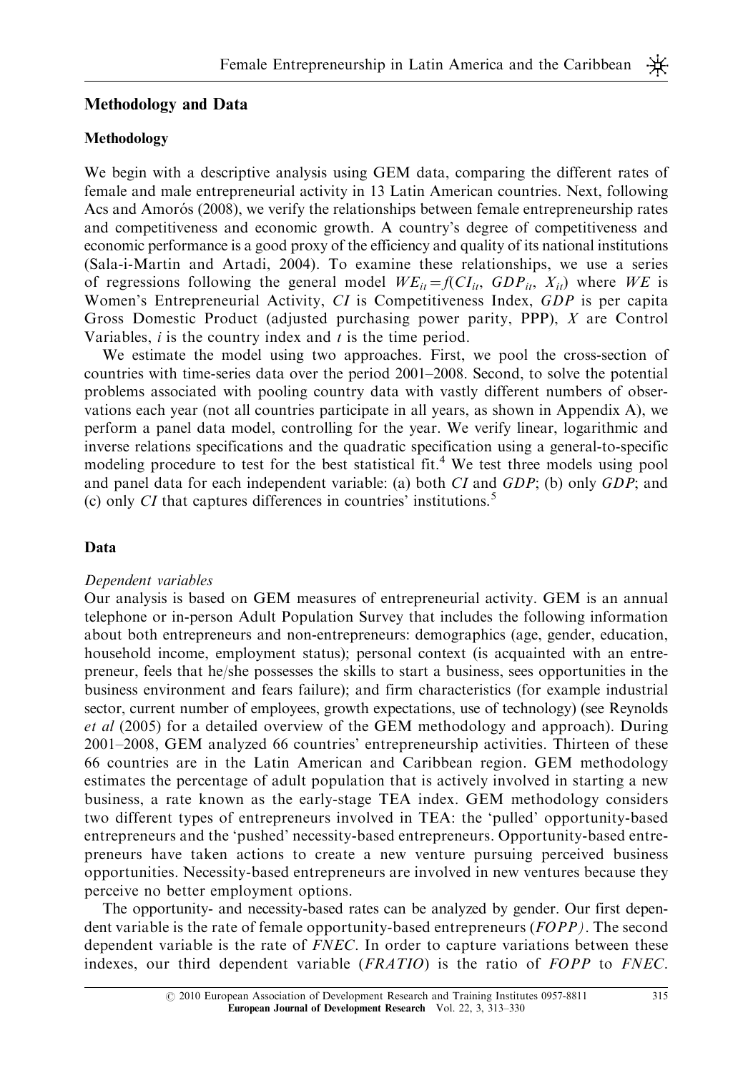#### Methodology and Data

#### Methodology

We begin with a descriptive analysis using GEM data, comparing the different rates of female and male entrepreneurial activity in 13 Latin American countries. Next, following Acs and Amorós (2008), we verify the relationships between female entrepreneurship rates and competitiveness and economic growth. A country's degree of competitiveness and economic performance is a good proxy of the efficiency and quality of its national institutions (Sala-i-Martin and Artadi, 2004). To examine these relationships, we use a series of regressions following the general model  $WE_{it} = f(Cl_{it}, GDP_{it}, X_{it})$  where WE is Women's Entrepreneurial Activity, CI is Competitiveness Index, GDP is per capita Gross Domestic Product (adjusted purchasing power parity, PPP), X are Control Variables,  $i$  is the country index and  $t$  is the time period.

We estimate the model using two approaches. First, we pool the cross-section of countries with time-series data over the period 2001–2008. Second, to solve the potential problems associated with pooling country data with vastly different numbers of observations each year (not all countries participate in all years, as shown in Appendix A), we perform a panel data model, controlling for the year. We verify linear, logarithmic and inverse relations specifications and the quadratic specification using a general-to-specific modeling procedure to test for the best statistical fit.<sup>4</sup> We test three models using pool and panel data for each independent variable: (a) both CI and GDP; (b) only GDP; and (c) only  $CI$  that captures differences in countries' institutions. $5$ 

#### Data

#### Dependent variables

Our analysis is based on GEM measures of entrepreneurial activity. GEM is an annual telephone or in-person Adult Population Survey that includes the following information about both entrepreneurs and non-entrepreneurs: demographics (age, gender, education, household income, employment status); personal context (is acquainted with an entrepreneur, feels that he/she possesses the skills to start a business, sees opportunities in the business environment and fears failure); and firm characteristics (for example industrial sector, current number of employees, growth expectations, use of technology) (see Reynolds et al (2005) for a detailed overview of the GEM methodology and approach). During 2001–2008, GEM analyzed 66 countries' entrepreneurship activities. Thirteen of these 66 countries are in the Latin American and Caribbean region. GEM methodology estimates the percentage of adult population that is actively involved in starting a new business, a rate known as the early-stage TEA index. GEM methodology considers two different types of entrepreneurs involved in TEA: the 'pulled' opportunity-based entrepreneurs and the 'pushed' necessity-based entrepreneurs. Opportunity-based entrepreneurs have taken actions to create a new venture pursuing perceived business opportunities. Necessity-based entrepreneurs are involved in new ventures because they perceive no better employment options.

The opportunity- and necessity-based rates can be analyzed by gender. Our first dependent variable is the rate of female opportunity-based entrepreneurs (FOPP). The second dependent variable is the rate of FNEC. In order to capture variations between these indexes, our third dependent variable (FRATIO) is the ratio of FOPP to FNEC.

₩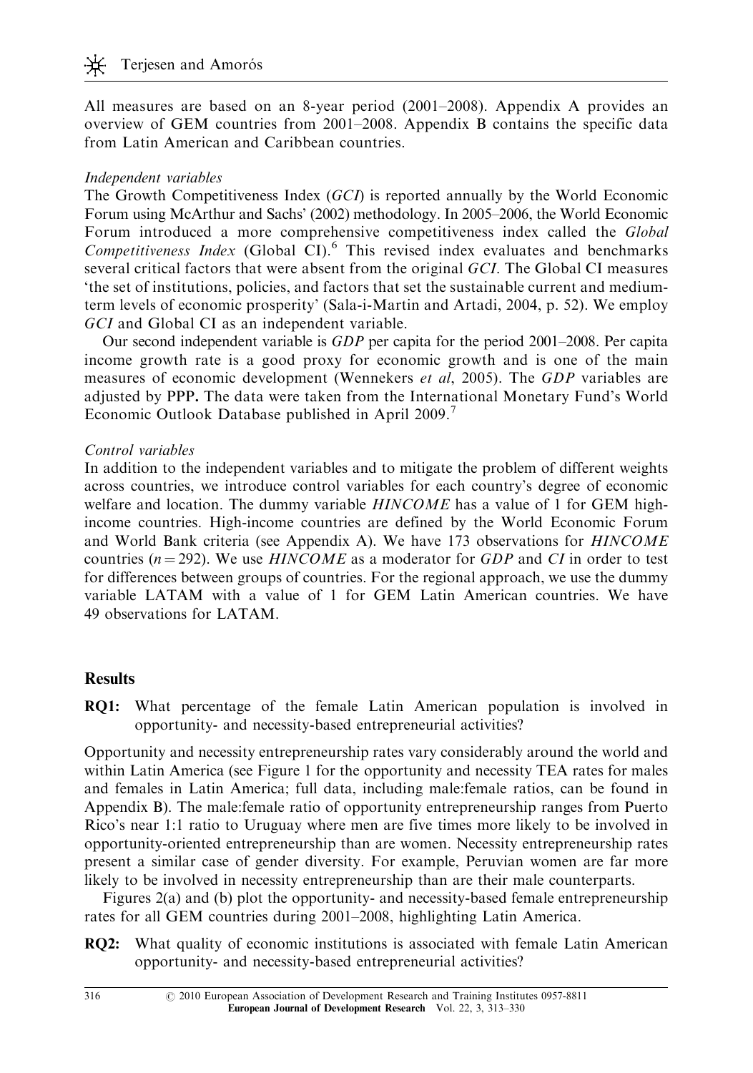All measures are based on an 8-year period (2001–2008). Appendix A provides an overview of GEM countries from 2001–2008. Appendix B contains the specific data from Latin American and Caribbean countries.

#### Independent variables

The Growth Competitiveness Index (GCI) is reported annually by the World Economic Forum using McArthur and Sachs' (2002) methodology. In 2005–2006, the World Economic Forum introduced a more comprehensive competitiveness index called the *Global* Competitiveness Index (Global CI). $^6$  This revised index evaluates and benchmarks several critical factors that were absent from the original GCI. The Global CI measures 'the set of institutions, policies, and factors that set the sustainable current and mediumterm levels of economic prosperity' (Sala-i-Martin and Artadi, 2004, p. 52). We employ GCI and Global CI as an independent variable.

Our second independent variable is  $GDP$  per capita for the period 2001–2008. Per capita income growth rate is a good proxy for economic growth and is one of the main measures of economic development (Wennekers et al, 2005). The GDP variables are adjusted by PPP. The data were taken from the International Monetary Fund's World Economic Outlook Database published in April 2009.

#### Control variables

In addition to the independent variables and to mitigate the problem of different weights across countries, we introduce control variables for each country's degree of economic welfare and location. The dummy variable HINCOME has a value of 1 for GEM highincome countries. High-income countries are defined by the World Economic Forum and World Bank criteria (see Appendix A). We have 173 observations for HINCOME countries ( $n = 292$ ). We use HINCOME as a moderator for GDP and CI in order to test for differences between groups of countries. For the regional approach, we use the dummy variable LATAM with a value of 1 for GEM Latin American countries. We have 49 observations for LATAM.

## **Results**

RQ1: What percentage of the female Latin American population is involved in opportunity- and necessity-based entrepreneurial activities?

Opportunity and necessity entrepreneurship rates vary considerably around the world and within Latin America (see Figure 1 for the opportunity and necessity TEA rates for males and females in Latin America; full data, including male:female ratios, can be found in Appendix B). The male:female ratio of opportunity entrepreneurship ranges from Puerto Rico's near 1:1 ratio to Uruguay where men are five times more likely to be involved in opportunity-oriented entrepreneurship than are women. Necessity entrepreneurship rates present a similar case of gender diversity. For example, Peruvian women are far more likely to be involved in necessity entrepreneurship than are their male counterparts.

Figures 2(a) and (b) plot the opportunity- and necessity-based female entrepreneurship rates for all GEM countries during 2001–2008, highlighting Latin America.

**RQ2:** What quality of economic institutions is associated with female Latin American opportunity- and necessity-based entrepreneurial activities?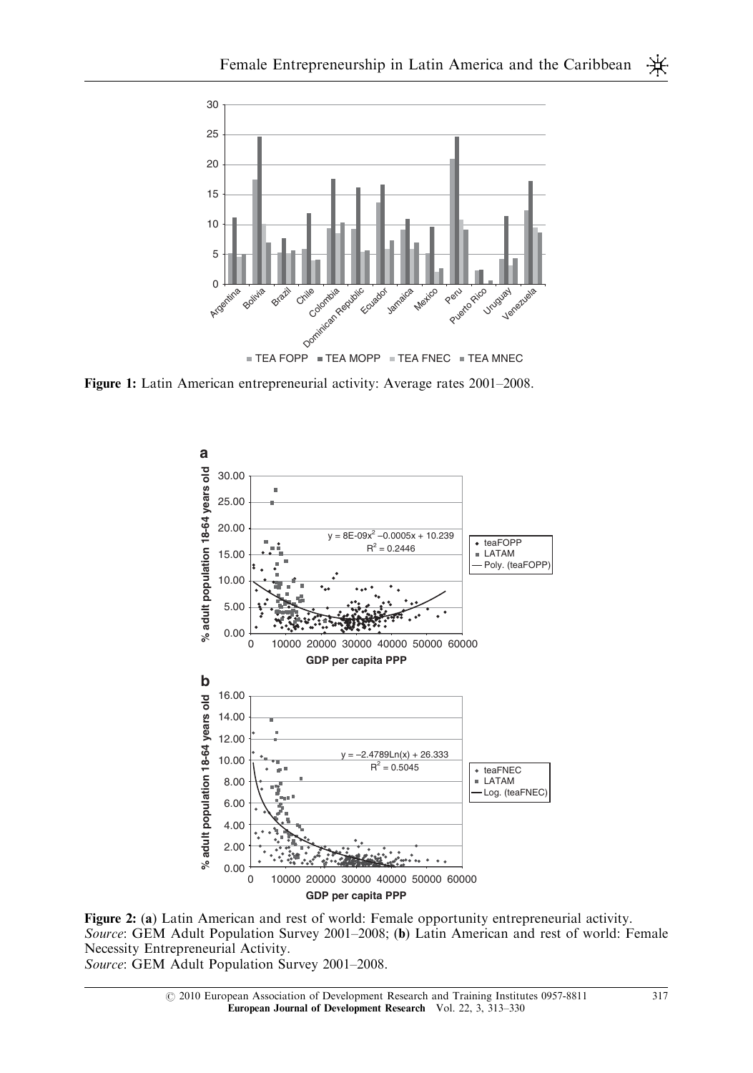

Figure 1: Latin American entrepreneurial activity: Average rates 2001–2008.



Figure 2: (a) Latin American and rest of world: Female opportunity entrepreneurial activity. Source: GEM Adult Population Survey 2001–2008; (b) Latin American and rest of world: Female Necessity Entrepreneurial Activity.

Source: GEM Adult Population Survey 2001–2008.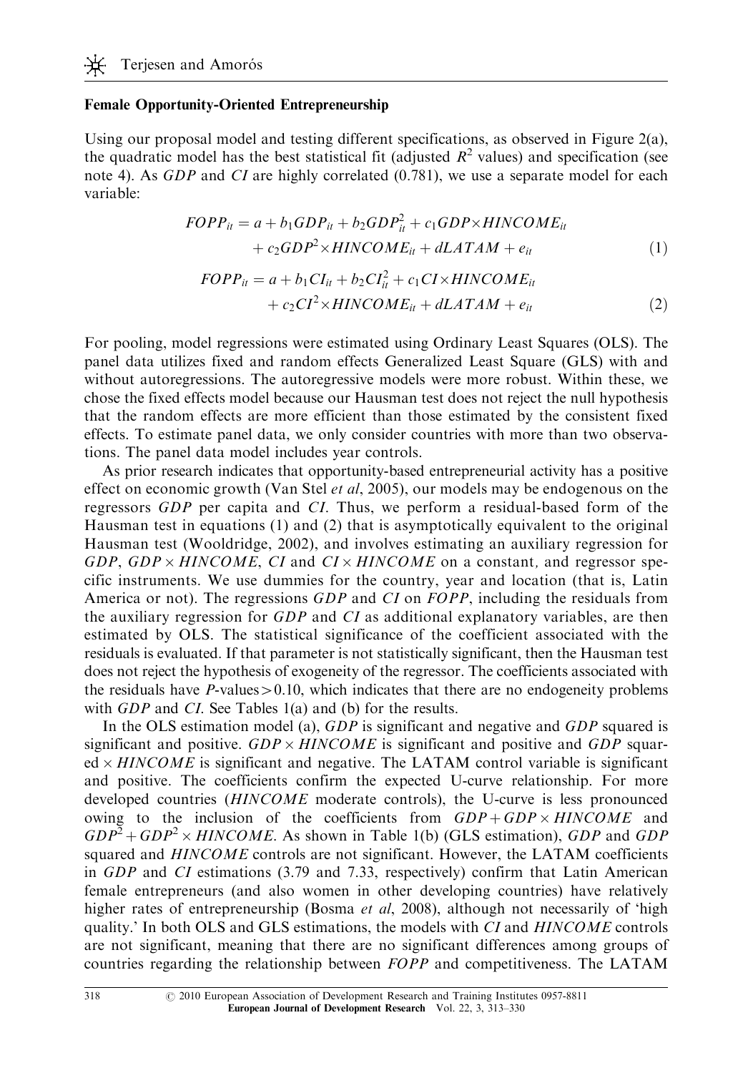#### Female Opportunity-Oriented Entrepreneurship

Using our proposal model and testing different specifications, as observed in Figure 2(a), the quadratic model has the best statistical fit (adjusted  $R^2$  values) and specification (see note 4). As *GDP* and *CI* are highly correlated (0.781), we use a separate model for each variable:

$$
FOPP_{it} = a + b_1 GDP_{it} + b_2 GDP_{it}^2 + c_1 GDP \times HINCOME_{it}
$$
  
+ 
$$
c_2 GDP^2 \times HINCOME_{it} + dLATAM + e_{it}
$$
 (1)

$$
FOPP_{it} = a + b_1 CI_{it} + b_2 CI_{it}^2 + c_1 CI \times HINCOME_{it}
$$
  
+ 
$$
c_2 CI^2 \times HINCOME_{it} + dLATAM + e_{it}
$$
 (2)

For pooling, model regressions were estimated using Ordinary Least Squares (OLS). The panel data utilizes fixed and random effects Generalized Least Square (GLS) with and without autoregressions. The autoregressive models were more robust. Within these, we chose the fixed effects model because our Hausman test does not reject the null hypothesis that the random effects are more efficient than those estimated by the consistent fixed effects. To estimate panel data, we only consider countries with more than two observations. The panel data model includes year controls.

As prior research indicates that opportunity-based entrepreneurial activity has a positive effect on economic growth (Van Stel *et al*, 2005), our models may be endogenous on the regressors GDP per capita and CI. Thus, we perform a residual-based form of the Hausman test in equations (1) and (2) that is asymptotically equivalent to the original Hausman test (Wooldridge, 2002), and involves estimating an auxiliary regression for GDP, GDP  $\times$  HINCOME, CI and CI  $\times$  HINCOME on a constant, and regressor specific instruments. We use dummies for the country, year and location (that is, Latin America or not). The regressions GDP and CI on FOPP, including the residuals from the auxiliary regression for GDP and CI as additional explanatory variables, are then estimated by OLS. The statistical significance of the coefficient associated with the residuals is evaluated. If that parameter is not statistically significant, then the Hausman test does not reject the hypothesis of exogeneity of the regressor. The coefficients associated with the residuals have  $P$ -values  $> 0.10$ , which indicates that there are no endogeneity problems with *GDP* and *CI*. See Tables 1(a) and (b) for the results.

In the OLS estimation model (a),  $GDP$  is significant and negative and  $GDP$  squared is significant and positive.  $GDP \times HINCOME$  is significant and positive and  $GDP$  squared  $\times$  HINCOME is significant and negative. The LATAM control variable is significant and positive. The coefficients confirm the expected U-curve relationship. For more developed countries (HINCOME moderate controls), the U-curve is less pronounced owing to the inclusion of the coefficients from  $GDP + GDP \times HINCOME$  and  $GDP^{2} + GDP^{2} \times HINCOME$ . As shown in Table 1(b) (GLS estimation), GDP and GDP squared and HINCOME controls are not significant. However, the LATAM coefficients in GDP and CI estimations (3.79 and 7.33, respectively) confirm that Latin American female entrepreneurs (and also women in other developing countries) have relatively higher rates of entrepreneurship (Bosma *et al*, 2008), although not necessarily of 'high quality.' In both OLS and GLS estimations, the models with CI and HINCOME controls are not significant, meaning that there are no significant differences among groups of countries regarding the relationship between FOPP and competitiveness. The LATAM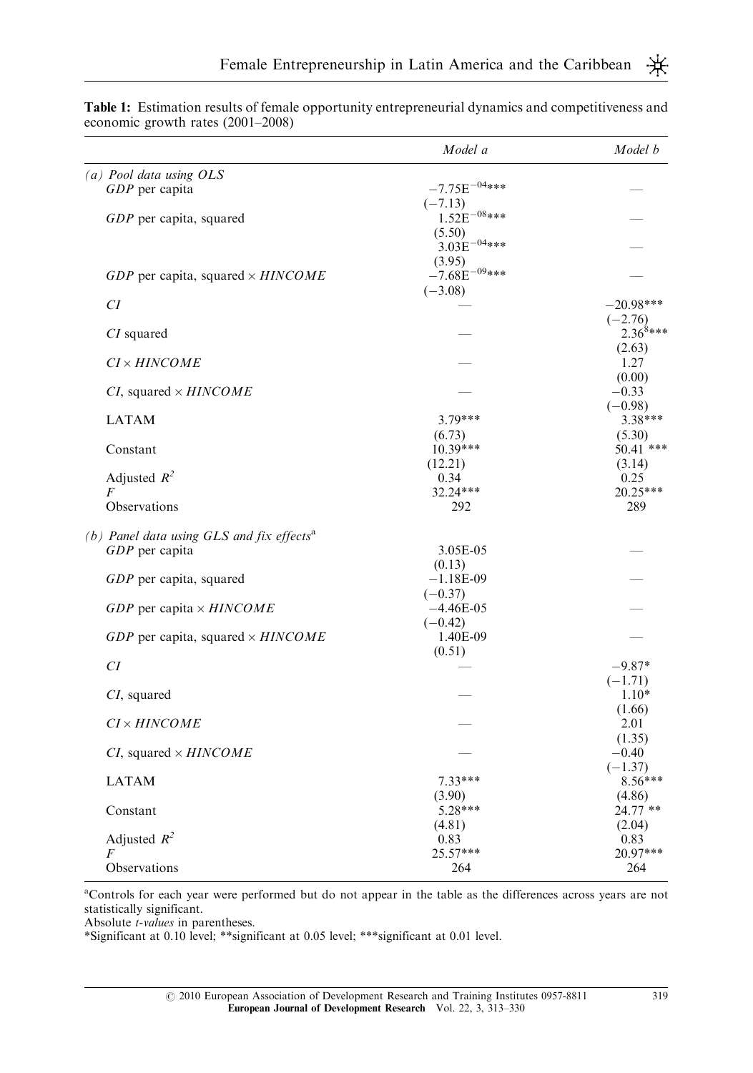|                                                         | Model a           | Model b        |
|---------------------------------------------------------|-------------------|----------------|
| (a) Pool data using OLS                                 |                   |                |
| GDP per capita                                          | $-7.75E^{-04***}$ |                |
|                                                         | $(-7.13)$         |                |
| GDP per capita, squared                                 | $1.52E^{-08***}$  |                |
|                                                         | (5.50)            |                |
|                                                         | $3.03E^{-04***}$  |                |
|                                                         | (3.95)            |                |
| $GDP$ per capita, squared $\times HINCOME$              | $-7.68E^{-09***}$ |                |
| CI                                                      | $(-3.08)$         | $-20.98***$    |
|                                                         |                   | $(-2.76)$      |
| CI squared                                              |                   | $2.36^{8***}$  |
|                                                         |                   | (2.63)         |
| $CI \times HINCOME$                                     |                   | 1.27           |
|                                                         |                   | (0.00)         |
| <i>CI</i> , squared $\times$ <i>HINCOME</i>             |                   | $-0.33$        |
|                                                         |                   | $(-0.98)$      |
| <b>LATAM</b>                                            | $3.79***$         | 3.38***        |
|                                                         | (6.73)            | (5.30)         |
| Constant                                                | $10.39***$        | 50.41 ***      |
|                                                         | (12.21)           | (3.14)         |
| Adjusted $R^2$                                          | 0.34              | 0.25           |
| F                                                       | 32.24***          | 20.25***       |
| <b>Observations</b>                                     | 292               | 289            |
| (b) Panel data using $GLS$ and fix effects <sup>a</sup> |                   |                |
| $GDP$ per capita                                        | 3.05E-05          |                |
|                                                         | (0.13)            |                |
| GDP per capita, squared                                 | $-1.18E-09$       |                |
|                                                         | $(-0.37)$         |                |
| GDP per capita $\times$ HINCOME                         | $-4.46E-05$       |                |
|                                                         | $(-0.42)$         |                |
| GDP per capita, squared $\times$ HINCOME                | 1.40E-09          |                |
|                                                         | (0.51)            |                |
| CI                                                      |                   | $-9.87*$       |
|                                                         |                   | $(-1.71)$      |
| CI, squared                                             |                   | $1.10*$        |
| CI × HINCOME                                            |                   | (1.66)<br>2.01 |
|                                                         |                   | (1.35)         |
| <i>CI</i> , squared $\times$ <i>HINCOME</i>             |                   | $-0.40$        |
|                                                         |                   | $(-1.37)$      |
| <b>LATAM</b>                                            | $7.33***$         | 8.56***        |
|                                                         | (3.90)            | (4.86)         |
| Constant                                                | 5.28***           | 24.77 **       |
|                                                         | (4.81)            | (2.04)         |
| Adjusted $R^2$                                          | 0.83              | 0.83           |
| F                                                       | 25.57***          | 20.97***       |
| Observations                                            | 264               | 264            |
|                                                         |                   |                |

Table 1: Estimation results of female opportunity entrepreneurial dynamics and competitiveness and economic growth rates (2001–2008)

a Controls for each year were performed but do not appear in the table as the differences across years are not statistically significant.

Absolute t-values in parentheses.

\*Significant at 0.10 level; \*\*significant at 0.05 level; \*\*\*significant at 0.01 level.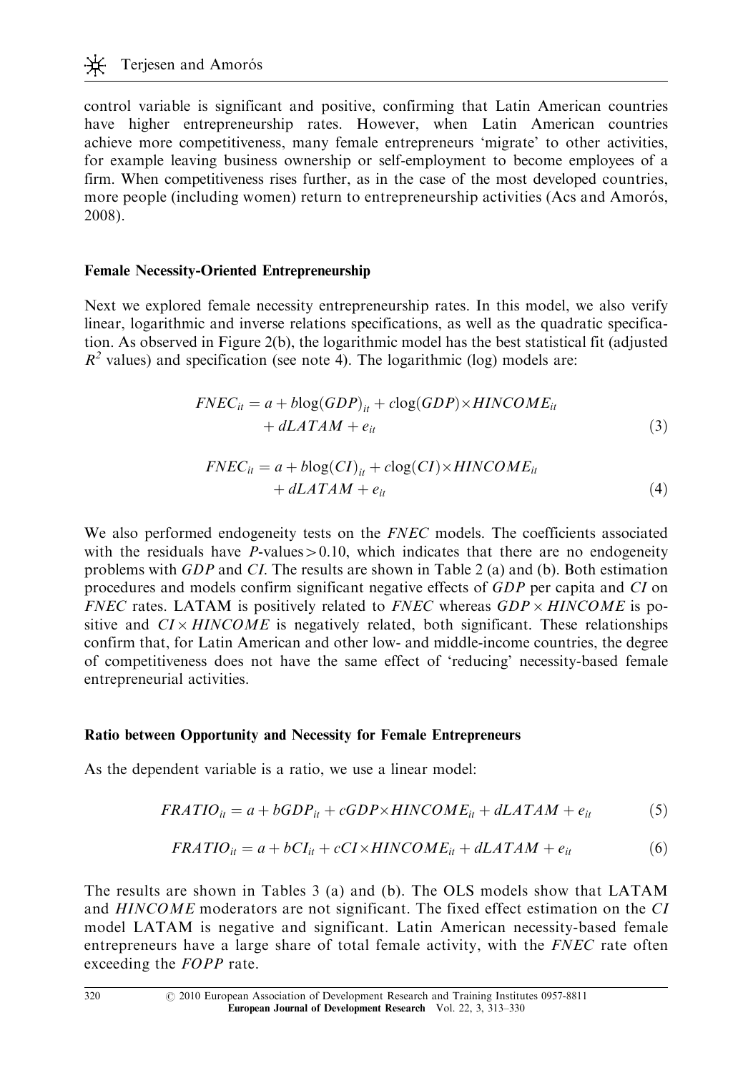control variable is significant and positive, confirming that Latin American countries have higher entrepreneurship rates. However, when Latin American countries achieve more competitiveness, many female entrepreneurs 'migrate' to other activities, for example leaving business ownership or self-employment to become employees of a firm. When competitiveness rises further, as in the case of the most developed countries, more people (including women) return to entrepreneurship activities (Acs and Amorós, 2008).

#### Female Necessity-Oriented Entrepreneurship

Next we explored female necessity entrepreneurship rates. In this model, we also verify linear, logarithmic and inverse relations specifications, as well as the quadratic specification. As observed in Figure 2(b), the logarithmic model has the best statistical fit (adjusted  $R<sup>2</sup>$  values) and specification (see note 4). The logarithmic (log) models are:

$$
FNEC_{it} = a + b\log(GDP)_{it} + c\log(GDP) \times HINCOME_{it}
$$
  
+  $dLATAM + e_{it}$  (3)

$$
FNEC_{it} = a + b\log(CI)_{it} + c\log(CI) \times HINCOME_{it}
$$
  
+  $dLATAM + e_{it}$  (4)

We also performed endogeneity tests on the FNEC models. The coefficients associated with the residuals have  $P$ -values  $> 0.10$ , which indicates that there are no endogeneity problems with GDP and CI. The results are shown in Table 2 (a) and (b). Both estimation procedures and models confirm significant negative effects of GDP per capita and CI on FNEC rates. LATAM is positively related to FNEC whereas  $GDP \times HINCOME$  is positive and  $CI \times HINCOME$  is negatively related, both significant. These relationships confirm that, for Latin American and other low- and middle-income countries, the degree of competitiveness does not have the same effect of 'reducing' necessity-based female entrepreneurial activities.

## Ratio between Opportunity and Necessity for Female Entrepreneurs

As the dependent variable is a ratio, we use a linear model:

$$
FRATIO_{it} = a + bGDP_{it} + cGDP \times HINCOME_{it} + dLATAM + e_{it}
$$
 (5)

$$
FRATIO_{it} = a + bCI_{it} + cCI \times HINCOME_{it} + dLATAM + e_{it}
$$
(6)

The results are shown in Tables 3 (a) and (b). The OLS models show that LATAM and HINCOME moderators are not significant. The fixed effect estimation on the CI model LATAM is negative and significant. Latin American necessity-based female entrepreneurs have a large share of total female activity, with the FNEC rate often exceeding the FOPP rate.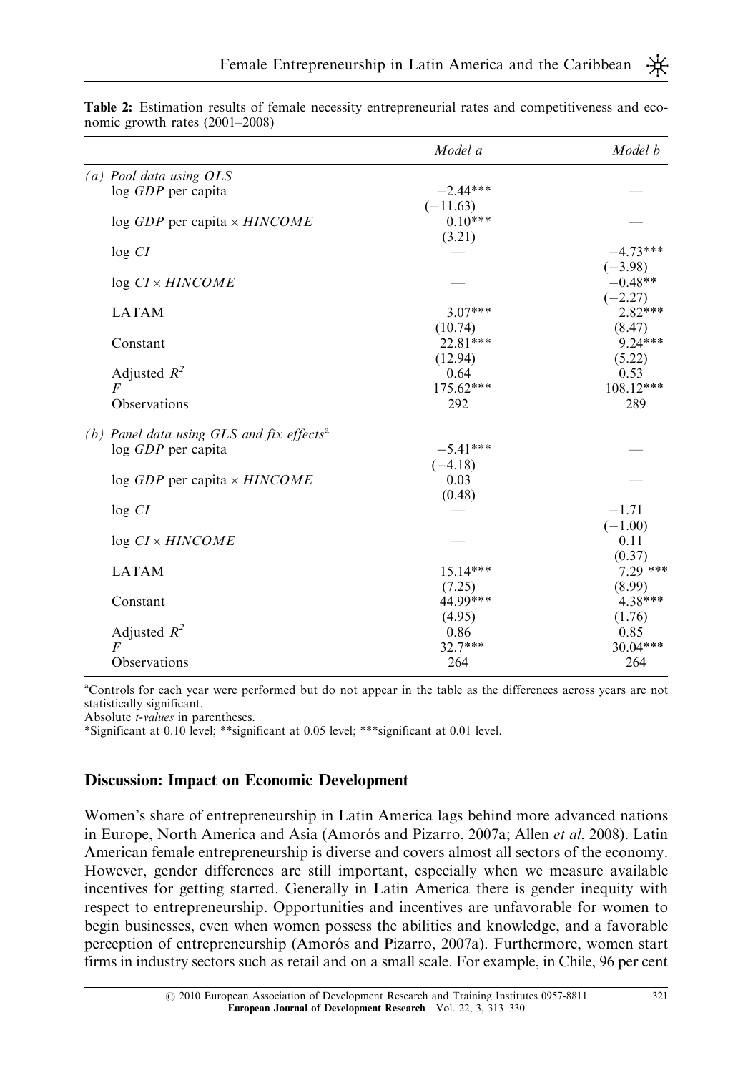|                                                         | Model a     | Model b     |
|---------------------------------------------------------|-------------|-------------|
| (a) Pool data using OLS                                 |             |             |
| log GDP per capita                                      | $-2.44***$  |             |
|                                                         | $(-11.63)$  |             |
| $log GDP$ per capita $\times HINCOME$                   | $0.10***$   |             |
|                                                         | (3.21)      |             |
| log CI                                                  |             | $-4.73***$  |
|                                                         |             | $(-3.98)$   |
| $log CI \times HINCOME$                                 |             | $-0.48**$   |
|                                                         |             | $(-2.27)$   |
| <b>LATAM</b>                                            | $3.07***$   | $2.82***$   |
|                                                         | (10.74)     | (8.47)      |
| Constant                                                | $22.81***$  | $9.24***$   |
|                                                         | (12.94)     | (5.22)      |
| Adjusted $R^2$                                          | 0.64        | 0.53        |
| F                                                       | $175.62***$ | $108.12***$ |
| Observations                                            | 292         | 289         |
| (b) Panel data using $GLS$ and fix effects <sup>a</sup> |             |             |
| log GDP per capita                                      | $-5.41***$  |             |
|                                                         | $(-4.18)$   |             |
| $\log GDP$ per capita $\times HINCOME$                  | 0.03        |             |
|                                                         | (0.48)      |             |
| log CI                                                  |             | $-1.71$     |
|                                                         |             | $(-1.00)$   |
| $log CI \times HINCOME$                                 |             | 0.11        |
|                                                         |             | (0.37)      |
| <b>LATAM</b>                                            | $15.14***$  | $7.29$ ***  |
|                                                         | (7.25)      | (8.99)      |
| Constant                                                | 44.99***    | $4.38***$   |
|                                                         | (4.95)      | (1.76)      |
| Adjusted $R^2$                                          | 0.86        | 0.85        |
| F                                                       | $32.7***$   | 30.04***    |
| Observations                                            | 264         | 264         |

Table 2: Estimation results of female necessity entrepreneurial rates and competitiveness and economic growth rates (2001–2008)

a Controls for each year were performed but do not appear in the table as the differences across years are not statistically significant.

Absolute *t*-values in parentheses.

\*Significant at 0.10 level; \*\*significant at 0.05 level; \*\*\*significant at 0.01 level.

## Discussion: Impact on Economic Development

Women's share of entrepreneurship in Latin America lags behind more advanced nations in Europe, North America and Asia (Amorós and Pizarro, 2007a; Allen et al, 2008). Latin American female entrepreneurship is diverse and covers almost all sectors of the economy. However, gender differences are still important, especially when we measure available incentives for getting started. Generally in Latin America there is gender inequity with respect to entrepreneurship. Opportunities and incentives are unfavorable for women to begin businesses, even when women possess the abilities and knowledge, and a favorable perception of entrepreneurship (Amorós and Pizarro, 2007a). Furthermore, women start firms in industry sectors such as retail and on a small scale. For example, in Chile, 96 per cent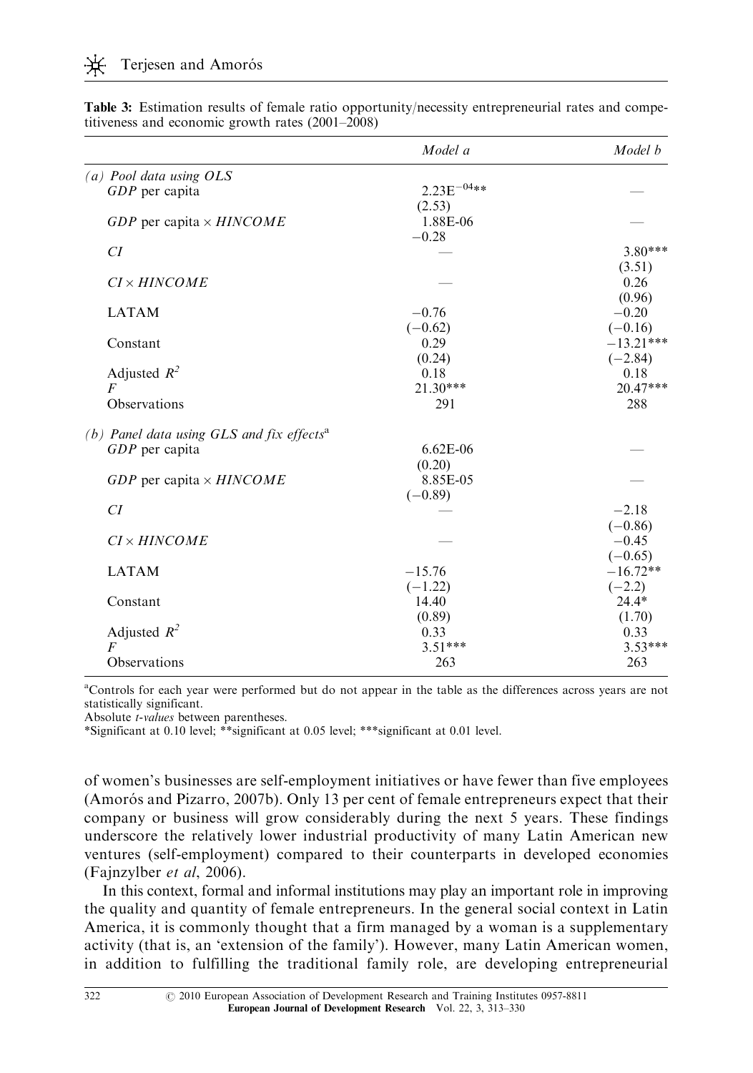|                                                       | Model a         | Model b     |
|-------------------------------------------------------|-----------------|-------------|
| (a) Pool data using OLS                               |                 |             |
| $GDP$ per capita                                      | $2.23E^{-04**}$ |             |
|                                                       | (2.53)          |             |
| $GDP$ per capita $\times HINCOME$                     | 1.88E-06        |             |
|                                                       | $-0.28$         |             |
| CI                                                    |                 | $3.80***$   |
|                                                       |                 | (3.51)      |
| $C I \times HINCOME$                                  |                 | 0.26        |
|                                                       |                 | (0.96)      |
| <b>LATAM</b>                                          | $-0.76$         | $-0.20$     |
|                                                       | $(-0.62)$       | $(-0.16)$   |
| Constant                                              | 0.29            | $-13.21***$ |
|                                                       | (0.24)          | $(-2.84)$   |
| Adjusted $R^2$                                        | 0.18            | 0.18        |
| $\overline{F}$                                        | $21.30***$      | 20.47***    |
| Observations                                          | 291             | 288         |
| (b) Panel data using GLS and fix effects <sup>a</sup> |                 |             |
| $GDP$ per capita                                      | $6.62E-06$      |             |
|                                                       | (0.20)          |             |
| GDP per capita $\times$ HINCOME                       | 8.85E-05        |             |
|                                                       | $(-0.89)$       |             |
| CI                                                    |                 | $-2.18$     |
|                                                       |                 | $(-0.86)$   |
| $CI \times HINCOME$                                   |                 | $-0.45$     |
|                                                       |                 | $(-0.65)$   |
| <b>LATAM</b>                                          | $-15.76$        | $-16.72**$  |
|                                                       | $(-1.22)$       | $(-2.2)$    |
| Constant                                              | 14.40           | $24.4*$     |
|                                                       | (0.89)          | (1.70)      |
| Adjusted $R^2$                                        | 0.33            | 0.33        |
| $\overline{F}$                                        | $3.51***$       | $3.53***$   |
| Observations                                          | 263             | 263         |

Table 3: Estimation results of female ratio opportunity/necessity entrepreneurial rates and competitiveness and economic growth rates (2001–2008)

a Controls for each year were performed but do not appear in the table as the differences across years are not statistically significant.

Absolute *t-values* between parentheses.

\*Significant at 0.10 level; \*\*significant at 0.05 level; \*\*\*significant at 0.01 level.

of women's businesses are self-employment initiatives or have fewer than five employees (Amorós and Pizarro, 2007b). Only 13 per cent of female entrepreneurs expect that their company or business will grow considerably during the next 5 years. These findings underscore the relatively lower industrial productivity of many Latin American new ventures (self-employment) compared to their counterparts in developed economies (Fajnzylber et al, 2006).

In this context, formal and informal institutions may play an important role in improving the quality and quantity of female entrepreneurs. In the general social context in Latin America, it is commonly thought that a firm managed by a woman is a supplementary activity (that is, an 'extension of the family'). However, many Latin American women, in addition to fulfilling the traditional family role, are developing entrepreneurial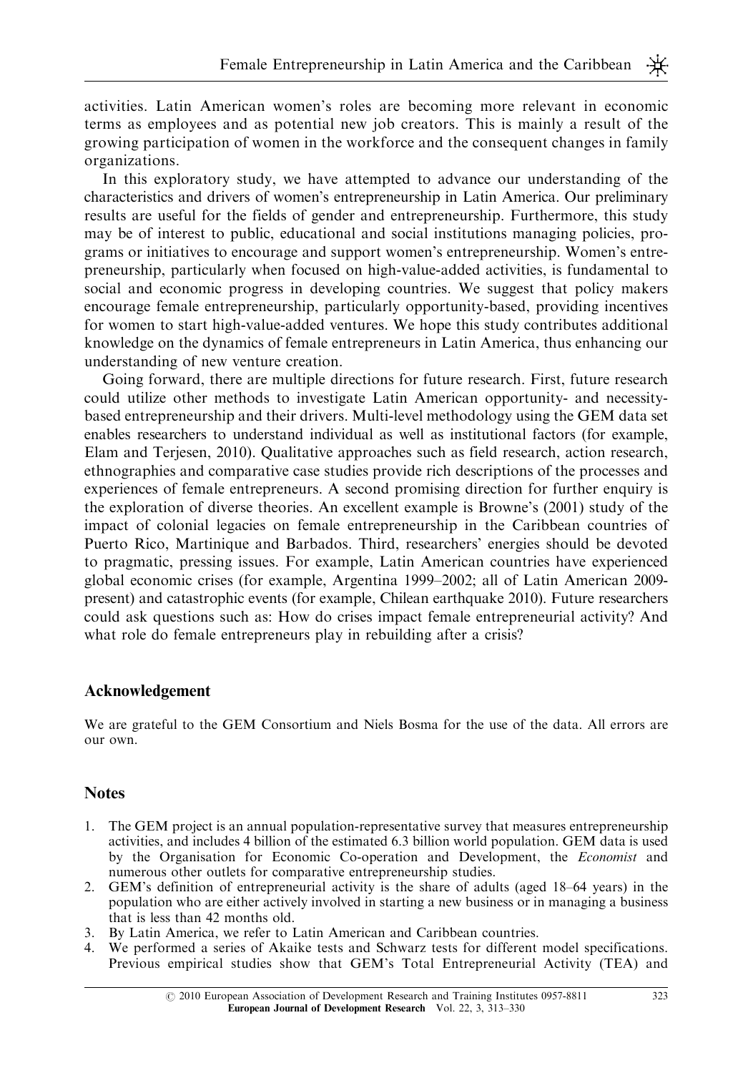activities. Latin American women's roles are becoming more relevant in economic terms as employees and as potential new job creators. This is mainly a result of the growing participation of women in the workforce and the consequent changes in family organizations.

In this exploratory study, we have attempted to advance our understanding of the characteristics and drivers of women's entrepreneurship in Latin America. Our preliminary results are useful for the fields of gender and entrepreneurship. Furthermore, this study may be of interest to public, educational and social institutions managing policies, programs or initiatives to encourage and support women's entrepreneurship. Women's entrepreneurship, particularly when focused on high-value-added activities, is fundamental to social and economic progress in developing countries. We suggest that policy makers encourage female entrepreneurship, particularly opportunity-based, providing incentives for women to start high-value-added ventures. We hope this study contributes additional knowledge on the dynamics of female entrepreneurs in Latin America, thus enhancing our understanding of new venture creation.

Going forward, there are multiple directions for future research. First, future research could utilize other methods to investigate Latin American opportunity- and necessitybased entrepreneurship and their drivers. Multi-level methodology using the GEM data set enables researchers to understand individual as well as institutional factors (for example, Elam and Terjesen, 2010). Qualitative approaches such as field research, action research, ethnographies and comparative case studies provide rich descriptions of the processes and experiences of female entrepreneurs. A second promising direction for further enquiry is the exploration of diverse theories. An excellent example is Browne's (2001) study of the impact of colonial legacies on female entrepreneurship in the Caribbean countries of Puerto Rico, Martinique and Barbados. Third, researchers' energies should be devoted to pragmatic, pressing issues. For example, Latin American countries have experienced global economic crises (for example, Argentina 1999–2002; all of Latin American 2009 present) and catastrophic events (for example, Chilean earthquake 2010). Future researchers could ask questions such as: How do crises impact female entrepreneurial activity? And what role do female entrepreneurs play in rebuilding after a crisis?

## Acknowledgement

We are grateful to the GEM Consortium and Niels Bosma for the use of the data. All errors are our own.

## **Notes**

- 1. The GEM project is an annual population-representative survey that measures entrepreneurship activities, and includes 4 billion of the estimated 6.3 billion world population. GEM data is used by the Organisation for Economic Co-operation and Development, the Economist and numerous other outlets for comparative entrepreneurship studies.
- 2. GEM's definition of entrepreneurial activity is the share of adults (aged 18–64 years) in the population who are either actively involved in starting a new business or in managing a business that is less than 42 months old.
- 3. By Latin America, we refer to Latin American and Caribbean countries.
- 4. We performed a series of Akaike tests and Schwarz tests for different model specifications. Previous empirical studies show that GEM's Total Entrepreneurial Activity (TEA) and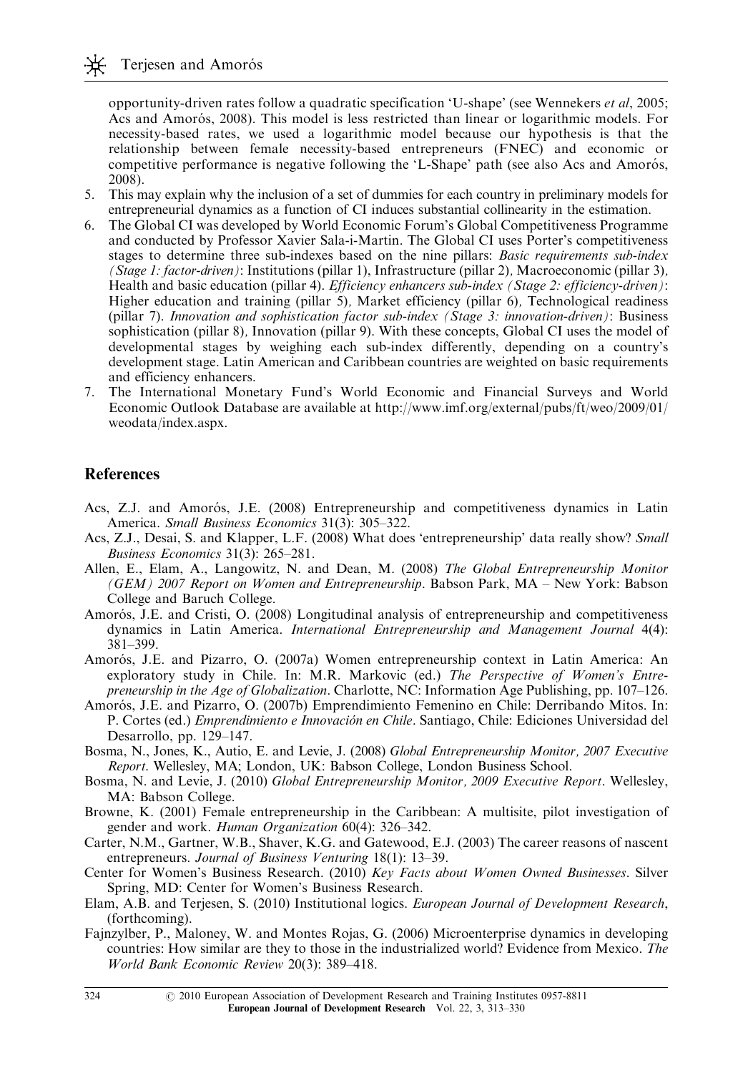opportunity-driven rates follow a quadratic specification 'U-shape' (see Wennekers et al, 2005; Acs and Amorós, 2008). This model is less restricted than linear or logarithmic models. For necessity-based rates, we used a logarithmic model because our hypothesis is that the relationship between female necessity-based entrepreneurs (FNEC) and economic or competitive performance is negative following the 'L-Shape' path (see also Acs and Amorós, 2008).

- 5. This may explain why the inclusion of a set of dummies for each country in preliminary models for entrepreneurial dynamics as a function of CI induces substantial collinearity in the estimation.
- 6. The Global CI was developed by World Economic Forum's Global Competitiveness Programme and conducted by Professor Xavier Sala-i-Martin. The Global CI uses Porter's competitiveness stages to determine three sub-indexes based on the nine pillars: Basic requirements sub-index (Stage 1: factor-driven): Institutions (pillar 1), Infrastructure (pillar 2), Macroeconomic (pillar 3), Health and basic education (pillar 4). *Efficiency enhancers sub-index (Stage 2: efficiency-driven)*: Higher education and training (pillar 5), Market efficiency (pillar 6), Technological readiness (pillar 7). Innovation and sophistication factor sub-index (Stage 3: innovation-driven): Business sophistication (pillar 8), Innovation (pillar 9). With these concepts, Global CI uses the model of developmental stages by weighing each sub-index differently, depending on a country's development stage. Latin American and Caribbean countries are weighted on basic requirements and efficiency enhancers.
- 7. The International Monetary Fund's World Economic and Financial Surveys and World Economic Outlook Database are available at http://www.imf.org/external/pubs/ft/weo/2009/01/ weodata/index.aspx.

#### **References**

- Acs, Z.J. and Amorós, J.E. (2008) Entrepreneurship and competitiveness dynamics in Latin America. Small Business Economics 31(3): 305-322.
- Acs, Z.J., Desai, S. and Klapper, L.F. (2008) What does 'entrepreneurship' data really show? Small Business Economics 31(3): 265–281.
- Allen, E., Elam, A., Langowitz, N. and Dean, M. (2008) The Global Entrepreneurship Monitor (GEM) 2007 Report on Women and Entrepreneurship. Babson Park, MA – New York: Babson College and Baruch College.
- Amorós, J.E. and Cristi, O. (2008) Longitudinal analysis of entrepreneurship and competitiveness dynamics in Latin America. International Entrepreneurship and Management Journal 4(4): 381–399.
- Amorós, J.E. and Pizarro, O. (2007a) Women entrepreneurship context in Latin America: An exploratory study in Chile. In: M.R. Markovic (ed.) The Perspective of Women's Entrepreneurship in the Age of Globalization. Charlotte, NC: Information Age Publishing, pp. 107–126.
- Amorós, J.E. and Pizarro, O. (2007b) Emprendimiento Femenino en Chile: Derribando Mitos. In: P. Cortes (ed.) Emprendimiento e Innovación en Chile. Santiago, Chile: Ediciones Universidad del Desarrollo, pp. 129–147.
- Bosma, N., Jones, K., Autio, E. and Levie, J. (2008) Global Entrepreneurship Monitor, 2007 Executive Report. Wellesley, MA; London, UK: Babson College, London Business School.
- Bosma, N. and Levie, J. (2010) Global Entrepreneurship Monitor, 2009 Executive Report. Wellesley, MA: Babson College.
- Browne, K. (2001) Female entrepreneurship in the Caribbean: A multisite, pilot investigation of gender and work. Human Organization 60(4): 326-342.
- Carter, N.M., Gartner, W.B., Shaver, K.G. and Gatewood, E.J. (2003) The career reasons of nascent entrepreneurs. Journal of Business Venturing 18(1): 13–39.
- Center for Women's Business Research. (2010) Key Facts about Women Owned Businesses. Silver Spring, MD: Center for Women's Business Research.
- Elam, A.B. and Terjesen, S. (2010) Institutional logics. *European Journal of Development Research*, (forthcoming).
- Fajnzylber, P., Maloney, W. and Montes Rojas, G. (2006) Microenterprise dynamics in developing countries: How similar are they to those in the industrialized world? Evidence from Mexico. The World Bank Economic Review 20(3): 389–418.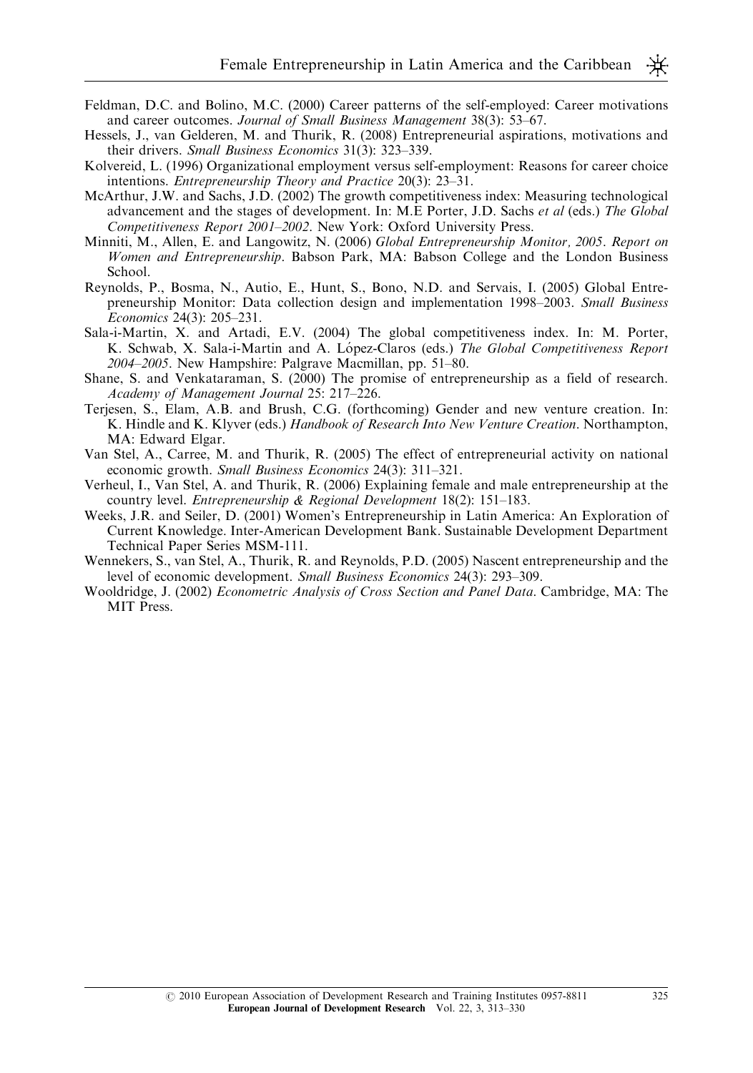- Feldman, D.C. and Bolino, M.C. (2000) Career patterns of the self-employed: Career motivations and career outcomes. Journal of Small Business Management 38(3): 53–67.
- Hessels, J., van Gelderen, M. and Thurik, R. (2008) Entrepreneurial aspirations, motivations and their drivers. Small Business Economics 31(3): 323–339.
- Kolvereid, L. (1996) Organizational employment versus self-employment: Reasons for career choice intentions. Entrepreneurship Theory and Practice 20(3): 23–31.
- McArthur, J.W. and Sachs, J.D. (2002) The growth competitiveness index: Measuring technological advancement and the stages of development. In: M.E Porter, J.D. Sachs et al (eds.) The Global Competitiveness Report 2001–2002. New York: Oxford University Press.
- Minniti, M., Allen, E. and Langowitz, N. (2006) Global Entrepreneurship Monitor, 2005. Report on Women and Entrepreneurship. Babson Park, MA: Babson College and the London Business School.
- Reynolds, P., Bosma, N., Autio, E., Hunt, S., Bono, N.D. and Servais, I. (2005) Global Entrepreneurship Monitor: Data collection design and implementation 1998–2003. Small Business Economics 24(3): 205–231.
- Sala-i-Martin, X. and Artadi, E.V. (2004) The global competitiveness index. In: M. Porter, K. Schwab, X. Sala-i-Martin and A. López-Claros (eds.) The Global Competitiveness Report 2004–2005. New Hampshire: Palgrave Macmillan, pp. 51–80.
- Shane, S. and Venkataraman, S. (2000) The promise of entrepreneurship as a field of research. Academy of Management Journal 25: 217–226.
- Terjesen, S., Elam, A.B. and Brush, C.G. (forthcoming) Gender and new venture creation. In: K. Hindle and K. Klyver (eds.) Handbook of Research Into New Venture Creation. Northampton, MA: Edward Elgar.
- Van Stel, A., Carree, M. and Thurik, R. (2005) The effect of entrepreneurial activity on national economic growth. Small Business Economics 24(3): 311-321.
- Verheul, I., Van Stel, A. and Thurik, R. (2006) Explaining female and male entrepreneurship at the country level. Entrepreneurship  $\&$  Regional Development 18(2): 151–183.
- Weeks, J.R. and Seiler, D. (2001) Women's Entrepreneurship in Latin America: An Exploration of Current Knowledge. Inter-American Development Bank. Sustainable Development Department Technical Paper Series MSM-111.
- Wennekers, S., van Stel, A., Thurik, R. and Reynolds, P.D. (2005) Nascent entrepreneurship and the level of economic development. Small Business Economics 24(3): 293–309.
- Wooldridge, J. (2002) Econometric Analysis of Cross Section and Panel Data. Cambridge, MA: The MIT Press.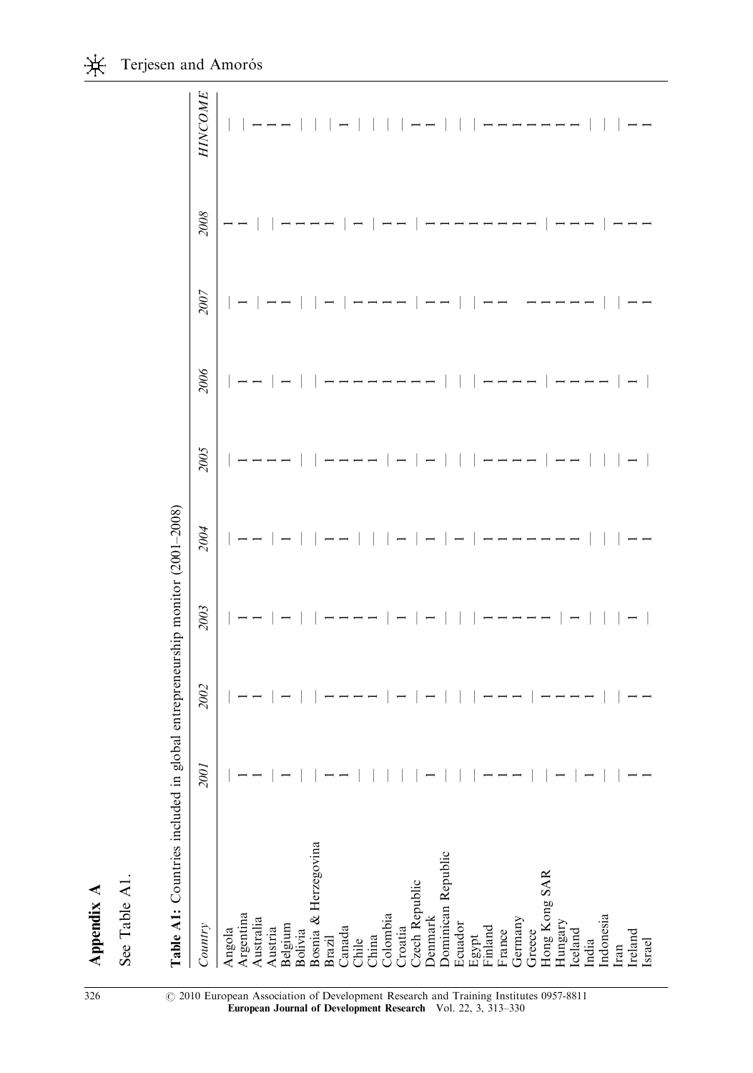| đ٢ |
|----|
|    |
|    |
|    |
|    |
|    |
|    |
|    |
|    |

| r,<br>г<br>۴ |  |
|--------------|--|
| Ť.<br>ŗ,     |  |

| $\ddot{\phantom{a}}$ |  |
|----------------------|--|
|                      |  |
|                      |  |
|                      |  |
|                      |  |
|                      |  |
|                      |  |
|                      |  |
|                      |  |
|                      |  |
|                      |  |
|                      |  |
|                      |  |
|                      |  |
|                      |  |
|                      |  |
|                      |  |
|                      |  |
|                      |  |
| -------------        |  |
|                      |  |
|                      |  |
|                      |  |
|                      |  |
|                      |  |
|                      |  |
|                      |  |
|                      |  |
|                      |  |
|                      |  |
|                      |  |
| $\overline{a}$       |  |
|                      |  |
| a se alaal astuan    |  |
|                      |  |
| $\frac{1}{2}$        |  |
|                      |  |
|                      |  |
|                      |  |
| ;                    |  |
|                      |  |
|                      |  |
|                      |  |
|                      |  |
|                      |  |
|                      |  |
|                      |  |
|                      |  |
|                      |  |
|                      |  |
|                      |  |
|                      |  |
|                      |  |
|                      |  |
|                      |  |
|                      |  |
|                      |  |
|                      |  |
|                      |  |
|                      |  |
| $\sim$ $\sim$ $\sim$ |  |
|                      |  |
|                      |  |
|                      |  |
|                      |  |
|                      |  |
|                      |  |
|                      |  |
|                      |  |
|                      |  |
|                      |  |
|                      |  |
|                      |  |
|                      |  |
|                      |  |
| I                    |  |
|                      |  |
|                      |  |
|                      |  |
|                      |  |
|                      |  |
|                      |  |
|                      |  |
|                      |  |
|                      |  |
| $\frac{1}{1}$        |  |

| Table A1: Countries included in                      |                |                          | global entrepreneurship monitor (2001-2008) |                          |                          |      |      |      |                |
|------------------------------------------------------|----------------|--------------------------|---------------------------------------------|--------------------------|--------------------------|------|------|------|----------------|
| Country                                              | <b>2001</b>    | 2002                     | 2003                                        | 2004                     | 2005                     | 2006 | 2007 | 2008 | <b>HINCOME</b> |
| Angola                                               |                |                          |                                             |                          |                          |      |      |      |                |
| Argentina                                            |                |                          |                                             |                          |                          |      |      |      |                |
| Australia                                            |                |                          |                                             |                          |                          |      |      |      |                |
| Austria                                              |                |                          |                                             |                          |                          |      |      |      |                |
| Belgium<br>Bolivia<br>Bosnia & Herzegovina<br>Brazil |                |                          |                                             |                          |                          |      |      |      |                |
|                                                      |                |                          |                                             |                          |                          |      |      |      |                |
|                                                      |                |                          |                                             |                          |                          |      |      |      |                |
|                                                      |                |                          |                                             |                          |                          |      |      |      |                |
|                                                      |                |                          |                                             |                          |                          |      |      |      |                |
|                                                      |                |                          |                                             |                          |                          |      |      |      |                |
|                                                      |                |                          |                                             |                          |                          |      |      |      |                |
| Canada<br>Chile<br>China<br>Colombia                 |                |                          |                                             |                          |                          |      |      |      |                |
|                                                      |                |                          |                                             | $\overline{a}$           |                          |      |      |      |                |
| Croatia<br>Czech Republic<br>Denmark                 | --     -   --- | $\overline{\phantom{a}}$ |                                             | $\overline{\phantom{a}}$ |                          |      |      |      |                |
|                                                      |                |                          | $\overline{\phantom{a}}$                    |                          | $\overline{\phantom{0}}$ |      |      |      |                |
| Dominican Republic                                   |                |                          |                                             |                          |                          |      |      |      |                |
| Ecuador                                              |                |                          |                                             |                          |                          |      |      |      |                |
|                                                      |                |                          |                                             |                          |                          |      |      |      |                |
| Egypt<br>Finland                                     |                |                          |                                             |                          |                          |      |      |      |                |
| France                                               |                |                          |                                             |                          |                          |      |      |      |                |
| Germany                                              |                |                          |                                             |                          |                          |      |      |      |                |
| Greece                                               |                |                          |                                             |                          |                          |      |      |      |                |
| Hong Kong SAR                                        |                |                          |                                             |                          |                          |      |      |      |                |
| Hungary                                              |                |                          |                                             |                          |                          |      |      |      |                |
|                                                      |                |                          |                                             |                          |                          |      |      |      |                |
| Iceland<br>India                                     |                |                          |                                             |                          |                          |      |      |      |                |
| Indonesia                                            |                |                          |                                             |                          |                          |      |      |      |                |
| $\operatorname{tran}$                                |                |                          |                                             |                          |                          |      |      |      |                |
| Ireland                                              |                |                          |                                             |                          |                          |      |      |      |                |
| Israel                                               |                |                          |                                             |                          |                          |      |      |      |                |

326 <sup>2010</sup> European Association of Development Research and Training Institutes 0957-8811 European Journal of Development Research Vol. 22, 3, 313–330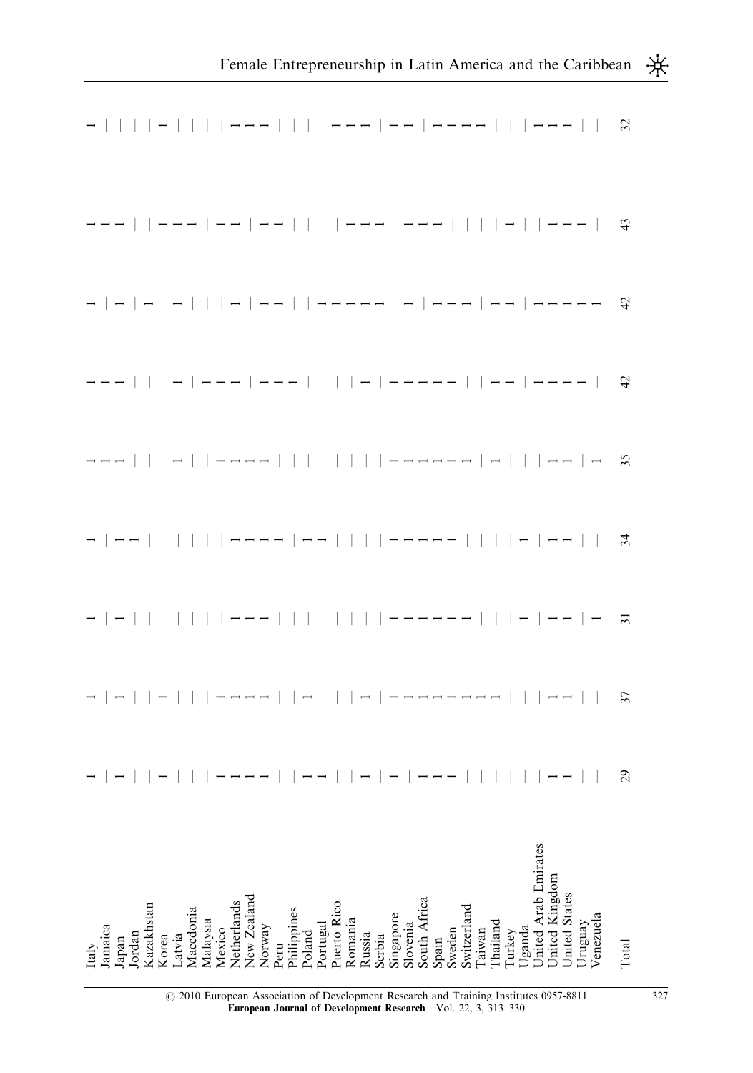|                                                                   |      |                      |       |        |           |                    |                            |        |      |                       |  |                         |         |        |        |  |                                       |       |        |             |        |          |        |        |                                        |               |         |           | Female Entrepreneurship in Latin America and the Caribbean K. |  |
|-------------------------------------------------------------------|------|----------------------|-------|--------|-----------|--------------------|----------------------------|--------|------|-----------------------|--|-------------------------|---------|--------|--------|--|---------------------------------------|-------|--------|-------------|--------|----------|--------|--------|----------------------------------------|---------------|---------|-----------|---------------------------------------------------------------|--|
| -         -         ---         ---   --   ----       ---       & |      |                      |       |        |           |                    |                            |        |      |                       |  |                         |         |        |        |  |                                       |       |        |             |        |          |        |        |                                        |               |         |           |                                                               |  |
| ---     ---   --   --         ---   ---         -     ---     3   |      |                      |       |        |           |                    |                            |        |      |                       |  |                         |         |        |        |  |                                       |       |        |             |        |          |        |        |                                        |               |         |           |                                                               |  |
|                                                                   |      |                      |       |        |           |                    |                            |        |      |                       |  |                         |         |        |        |  |                                       |       |        |             |        |          |        |        |                                        |               |         |           |                                                               |  |
|                                                                   |      |                      |       |        |           |                    |                            |        |      |                       |  |                         |         |        |        |  |                                       |       |        |             |        |          |        |        |                                        |               |         |           |                                                               |  |
| ---   -  ----        ------ -   -- - <mark>×</mark>               |      |                      |       |        |           |                    |                            |        |      |                       |  |                         |         |        |        |  |                                       |       |        |             |        |          |        |        |                                        |               |         |           |                                                               |  |
|                                                                   |      |                      |       |        |           |                    |                            |        |      |                       |  |                         |         |        |        |  |                                       |       |        |             |        |          |        |        |                                        |               |         |           |                                                               |  |
|                                                                   |      |                      |       |        |           |                    |                            |        |      |                       |  |                         |         |        |        |  |                                       |       |        |             |        |          |        |        |                                        |               |         |           |                                                               |  |
|                                                                   |      |                      |       |        |           |                    |                            |        |      |                       |  |                         |         |        |        |  |                                       |       |        |             |        |          |        |        |                                        |               |         |           | $\mathbf{S}$                                                  |  |
|                                                                   |      |                      |       |        |           |                    |                            |        |      |                       |  |                         |         |        |        |  |                                       |       |        |             |        |          |        |        |                                        |               |         |           |                                                               |  |
| amaica<br>taly                                                    | apan | Kazakhstan<br>Iordan | Korea | Latvia | Macedonia | Malaysia<br>Mexico | Netherlands<br>New Zealand | Norway | Peru | Philippines<br>Poland |  | Portugal<br>Puerto Rico | Romania | Russia | Serbia |  | Singapore<br>Slovenia<br>South Africa | Spain | Sweden | Switzerland | Taiwan | Thailand | Turkey | Uganda | Jnited Arab Emirates<br>Jnited Kingdom | Jnited States | Jruguay | /enezuela | Total                                                         |  |

r 2010 European Association of Development Research and Training Institutes 0957-8811 327 European Journal of Development Research Vol. 22, 3, 313–330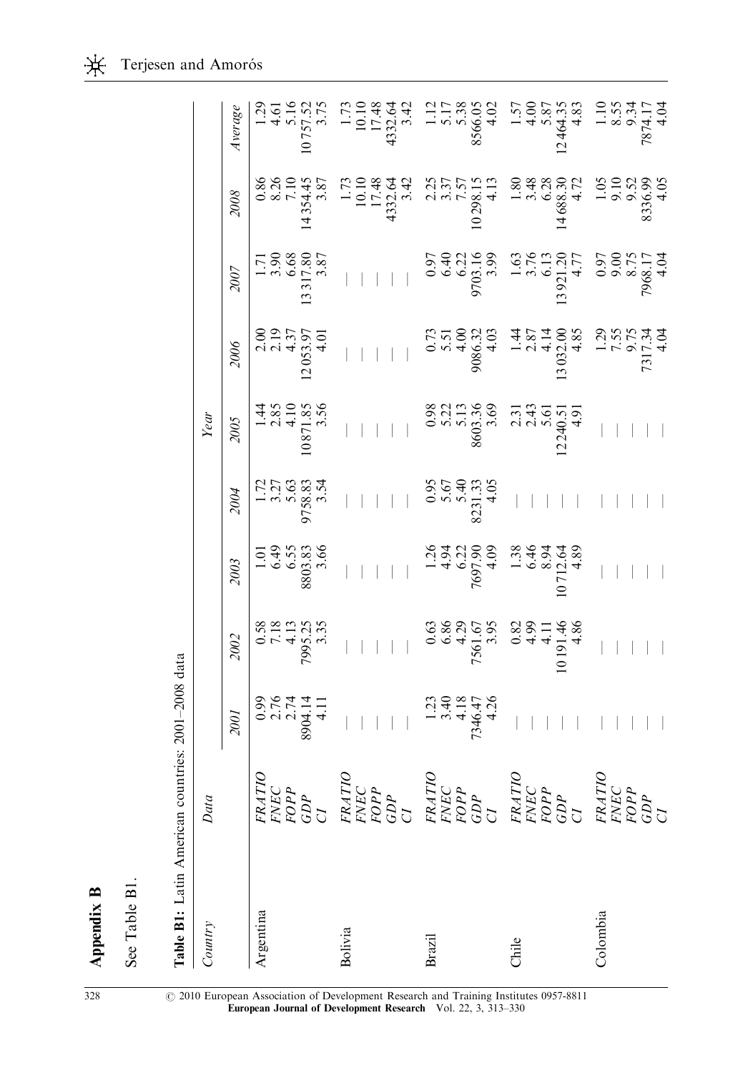| $\begin{array}{r} 1.71 \\ 3.90 \\ 6.68 \\ 3.17.80 \\ 3.87 \end{array}$<br>0.97<br>9.03.14 0.97<br>9.03.14 0.97<br>9.03.14 0.97<br>9.97<br>9.97<br>9.97<br>9.97<br>9.97<br>9.97<br>9.97<br>9.97<br>9.97<br>9.97<br>9.03.17<br>9.03.17<br>9.03.17<br>9.03.17<br>9.03.17<br>9.03.17<br>9.03.17<br>9.03.17<br>9.03.17<br>9.03.17<br>9.03.17<br>9.03.17<br>9.03.1<br>2007<br>$\begin{array}{c} 2.00 \\ 2.19 \\ 4.37 \\ 12053.97 \\ 4.01 \end{array}$<br>2006<br>$1.44$<br>$2.85$<br>$4.10$<br>$4.10$<br>$3.56$<br>$\begin{array}{r} 0.98 \\ 5.22 \\ 5.13 \\ 8603.36 \\ 8603.36 \\ 2.31 \\ 2.43 \\ 5.61 \\ 2.49 \\ 5.01 \\ 4.91 \\ \end{array}$<br>Year<br>2005<br>$0.95$<br>5.67<br>5.40<br>5.40<br>5.405<br>$\frac{1.72}{3.27}$<br>5.63<br>5.63<br>5.54<br>5.54<br>2004<br>$\begin{array}{r} 1.26 \\ 1.34 \\ 4.94 \\ 6.21 \\ 6.32 \\ 7697.90 \\ 7697.90 \\ 1.38 \\ 6.46 \\ 1.36 \\ 1.38 \\ 1.38 \\ 1.39 \\ 1.264 \\ 1.263 \\ 1.264 \\ 1.263 \\ 2.39 \\ 1.264 \\ 2.39 \\ 2.39 \\ 2.39 \\ 2.39 \\ 2.39 \\ 2.39 \\ 2.39 \\ 2.39 \\ 2.39 \\ 2.39 \\ 2.39 \\ 2.39 \\ 2.39 \\ 2.39 \\ 2.3$<br>$1.01$<br>$6.49$<br>$6.55$<br>$8803.83$<br>$3.66$<br>2003<br>0.63<br>586<br>590.67<br>7561.67<br>7561.67<br>7.88<br>4.86<br>1.11<br>4.86<br>0.58<br>7.18<br>4.13<br>4.13<br>5.55<br>5.35<br>2002<br>$0.99$<br>$2.74$<br>$2.74$<br>$2.74$<br>$3.904.14$<br>$4.11$<br>$1.23$<br>3.40<br>3.40<br>4.18<br>7346.47<br>2001<br>FRATIO<br>FNEC<br>FOPP<br>CDP<br>CI<br>$\begin{array}{l} FRATIO \\ FNEC \\ FOPP \\ GDP \\ CIP \end{array}$<br>$\begin{array}{l} FRATIO \\ FNEC \\ FOPP \\ GDP \\ GDP \end{array}$<br>$\begin{array}{l} FRATIO \\ FRATIO \\ FOPP \\ GDP \\ CI \end{array}$<br>$\begin{array}{l} FRATIO \\ FNEC \\ FOPP \\ GDP \\ CI \end{array}$<br>Data<br>Colombia<br>Argentina<br>Country<br>Bolivia<br><b>Brazil</b><br>Chile | Table B1: Latin American countries: 2001-2008 data |  |  |  |  |                                                                                                                                                                                                                                                                                                                 |         |
|-------------------------------------------------------------------------------------------------------------------------------------------------------------------------------------------------------------------------------------------------------------------------------------------------------------------------------------------------------------------------------------------------------------------------------------------------------------------------------------------------------------------------------------------------------------------------------------------------------------------------------------------------------------------------------------------------------------------------------------------------------------------------------------------------------------------------------------------------------------------------------------------------------------------------------------------------------------------------------------------------------------------------------------------------------------------------------------------------------------------------------------------------------------------------------------------------------------------------------------------------------------------------------------------------------------------------------------------------------------------------------------------------------------------------------------------------------------------------------------------------------------------------------------------------------------------------------------------------------------------------------------------------------------------------------------------------------------------------------------------------------------------------------------------------------------------------------|----------------------------------------------------|--|--|--|--|-----------------------------------------------------------------------------------------------------------------------------------------------------------------------------------------------------------------------------------------------------------------------------------------------------------------|---------|
|                                                                                                                                                                                                                                                                                                                                                                                                                                                                                                                                                                                                                                                                                                                                                                                                                                                                                                                                                                                                                                                                                                                                                                                                                                                                                                                                                                                                                                                                                                                                                                                                                                                                                                                                                                                                                               |                                                    |  |  |  |  |                                                                                                                                                                                                                                                                                                                 |         |
|                                                                                                                                                                                                                                                                                                                                                                                                                                                                                                                                                                                                                                                                                                                                                                                                                                                                                                                                                                                                                                                                                                                                                                                                                                                                                                                                                                                                                                                                                                                                                                                                                                                                                                                                                                                                                               |                                                    |  |  |  |  | 2008                                                                                                                                                                                                                                                                                                            | Average |
|                                                                                                                                                                                                                                                                                                                                                                                                                                                                                                                                                                                                                                                                                                                                                                                                                                                                                                                                                                                                                                                                                                                                                                                                                                                                                                                                                                                                                                                                                                                                                                                                                                                                                                                                                                                                                               |                                                    |  |  |  |  |                                                                                                                                                                                                                                                                                                                 |         |
|                                                                                                                                                                                                                                                                                                                                                                                                                                                                                                                                                                                                                                                                                                                                                                                                                                                                                                                                                                                                                                                                                                                                                                                                                                                                                                                                                                                                                                                                                                                                                                                                                                                                                                                                                                                                                               |                                                    |  |  |  |  | 0.86<br>8.26<br>7.10<br>7.354.45<br>1.87                                                                                                                                                                                                                                                                        |         |
|                                                                                                                                                                                                                                                                                                                                                                                                                                                                                                                                                                                                                                                                                                                                                                                                                                                                                                                                                                                                                                                                                                                                                                                                                                                                                                                                                                                                                                                                                                                                                                                                                                                                                                                                                                                                                               |                                                    |  |  |  |  |                                                                                                                                                                                                                                                                                                                 |         |
|                                                                                                                                                                                                                                                                                                                                                                                                                                                                                                                                                                                                                                                                                                                                                                                                                                                                                                                                                                                                                                                                                                                                                                                                                                                                                                                                                                                                                                                                                                                                                                                                                                                                                                                                                                                                                               |                                                    |  |  |  |  | $1.73$<br>10.10<br>17.48<br>1332.64<br>4332.64                                                                                                                                                                                                                                                                  |         |
|                                                                                                                                                                                                                                                                                                                                                                                                                                                                                                                                                                                                                                                                                                                                                                                                                                                                                                                                                                                                                                                                                                                                                                                                                                                                                                                                                                                                                                                                                                                                                                                                                                                                                                                                                                                                                               |                                                    |  |  |  |  |                                                                                                                                                                                                                                                                                                                 |         |
|                                                                                                                                                                                                                                                                                                                                                                                                                                                                                                                                                                                                                                                                                                                                                                                                                                                                                                                                                                                                                                                                                                                                                                                                                                                                                                                                                                                                                                                                                                                                                                                                                                                                                                                                                                                                                               |                                                    |  |  |  |  |                                                                                                                                                                                                                                                                                                                 |         |
|                                                                                                                                                                                                                                                                                                                                                                                                                                                                                                                                                                                                                                                                                                                                                                                                                                                                                                                                                                                                                                                                                                                                                                                                                                                                                                                                                                                                                                                                                                                                                                                                                                                                                                                                                                                                                               |                                                    |  |  |  |  | $\begin{array}{r} 2.25 \\ 2.37 \\ 3.37 \\ 1.57 \\ 2.81 \\ 1.39 \\ 2.41 \\ 3.80 \\ 4.7 \\ 5.80 \\ 3.48 \\ 4.7 \\ 5.80 \\ 5.83 \\ 6.83 \\ 7.7 \\ 1.65 \\ 9.5 \\ 9.69 \\ 4.68 \\ 3.36 \\ 4.68 \\ 3.36 \\ 4.68 \\ 3.36 \\ 4.68 \\ 3.36 \\ 4.68 \\ 3.36 \\ 4.68 \\ 3.36 \\ 4.68 \\ 3.36 \\ 4.68 \\ 3.36 \\ 4.68 \\ $ |         |
|                                                                                                                                                                                                                                                                                                                                                                                                                                                                                                                                                                                                                                                                                                                                                                                                                                                                                                                                                                                                                                                                                                                                                                                                                                                                                                                                                                                                                                                                                                                                                                                                                                                                                                                                                                                                                               |                                                    |  |  |  |  |                                                                                                                                                                                                                                                                                                                 |         |
|                                                                                                                                                                                                                                                                                                                                                                                                                                                                                                                                                                                                                                                                                                                                                                                                                                                                                                                                                                                                                                                                                                                                                                                                                                                                                                                                                                                                                                                                                                                                                                                                                                                                                                                                                                                                                               |                                                    |  |  |  |  |                                                                                                                                                                                                                                                                                                                 |         |
|                                                                                                                                                                                                                                                                                                                                                                                                                                                                                                                                                                                                                                                                                                                                                                                                                                                                                                                                                                                                                                                                                                                                                                                                                                                                                                                                                                                                                                                                                                                                                                                                                                                                                                                                                                                                                               |                                                    |  |  |  |  |                                                                                                                                                                                                                                                                                                                 |         |

Appendix B Appendix B

See Table B1.

See Table B1.

328 <sup>C</sup> 2010 European Association of Development Research and Training Institutes 0957-8811 European Journal of Development Research Vol. 22, 3, 313–330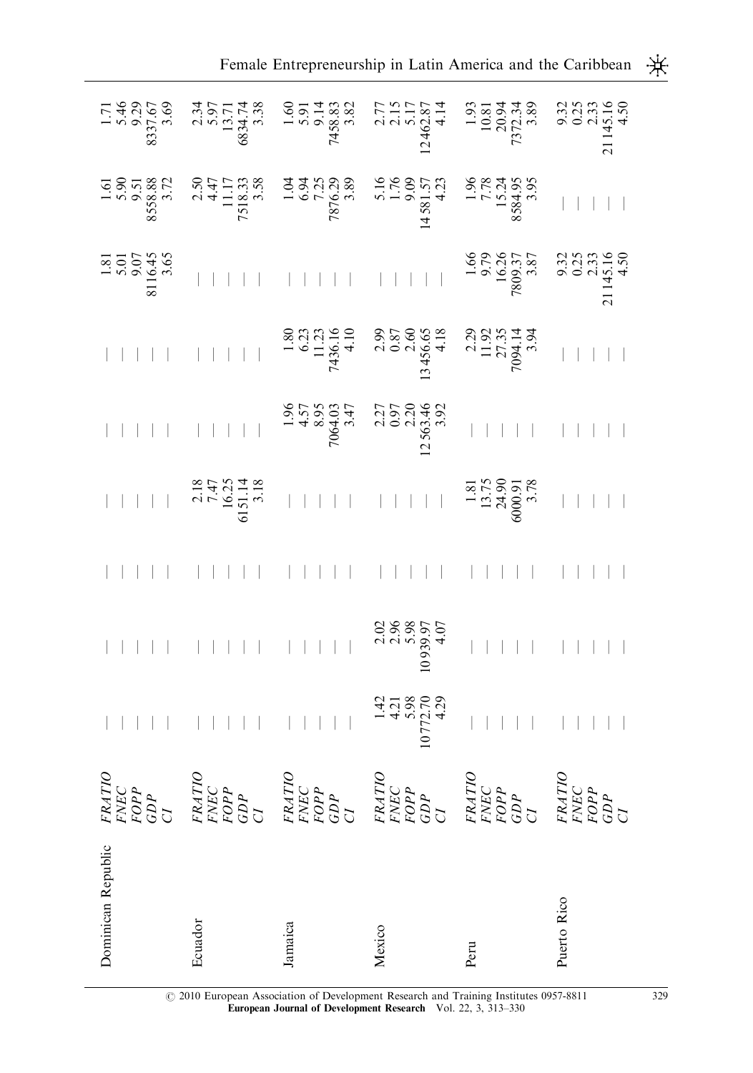| Dominican Republic | $\begin{array}{l} FRATIO \\ FNEC \\ FOPP \\ GDP \\ C1 \end{array}$ |  |     |  |                                                                                                                                                                                                                                                                                      |  |
|--------------------|--------------------------------------------------------------------|--|-----|--|--------------------------------------------------------------------------------------------------------------------------------------------------------------------------------------------------------------------------------------------------------------------------------------|--|
| Ecuador            | FRATIO<br>FNEC<br>FOPP<br>CDP<br>CI                                |  |     |  |                                                                                                                                                                                                                                                                                      |  |
| Jamaica            | FRATIO<br>FNEC<br>FOPP<br>CDP<br>CI                                |  |     |  |                                                                                                                                                                                                                                                                                      |  |
| Mexico             | FRATIO<br>FNEC<br>FOPP<br>GDP<br>CI                                |  |     |  |                                                                                                                                                                                                                                                                                      |  |
| Peru               | FRATIO<br>FNEC<br>FOPP<br>CDP<br>CI                                |  | $ $ |  | $-1.5$<br>$-1.5$<br>$-1.5$<br>$-1.5$<br>$-1.5$<br>$-1.5$<br>$-1.5$<br>$-1.5$<br>$-1.5$<br>$-1.5$<br>$-1.5$<br>$-1.5$<br>$-1.5$<br>$-1.5$<br>$-1.5$<br>$-1.5$<br>$-1.5$<br>$-1.5$<br>$-1.5$<br>$-1.5$<br>$-1.5$<br>$-1.5$<br>$-1.5$<br>$-1.5$<br>$-1.5$<br>$-1.5$<br>$-1.5$<br>$-1.5$ |  |
| Puerto Rico        | $\begin{array}{l} FRATIO \\ FNEC \\ FOPP \\ GDP \\ C1 \end{array}$ |  |     |  |                                                                                                                                                                                                                                                                                      |  |

 $\,$   $\,$   $\,$